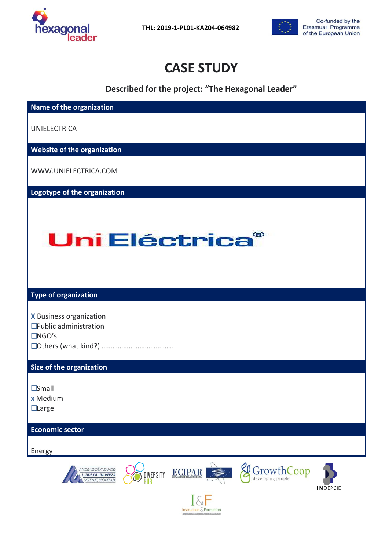

 **THL: 2019-1-PL01-KA204-064982**



# **CASE STUDY**

**Described for the project: "The Hexagonal Leader"**

| Name of the organization                                                                                                                                                           |
|------------------------------------------------------------------------------------------------------------------------------------------------------------------------------------|
| <b>UNIELECTRICA</b>                                                                                                                                                                |
| Website of the organization                                                                                                                                                        |
| WWW.UNIELECTRICA.COM                                                                                                                                                               |
| Logotype of the organization                                                                                                                                                       |
| Uni Eléctrica®                                                                                                                                                                     |
| <b>Type of organization</b>                                                                                                                                                        |
| <b>X</b> Business organization<br>$\square$ Public administration<br>$\Box$ NGO's                                                                                                  |
| Size of the organization                                                                                                                                                           |
| $\square$ Small<br>x Medium<br>$\Box$ Large                                                                                                                                        |
| <b>Economic sector</b>                                                                                                                                                             |
| Energy                                                                                                                                                                             |
| GrowthCoop<br>ANDRAGOŠKI ZAVOD<br>ECIPAR<br>DIVERSITY<br>LJUDSKA UNIVERZA<br><b>VELENJE, SLOVENIJA</b><br><b>INDEPCIE</b><br>$\overline{ \mathcal{L} }$<br>Instruction & Formation |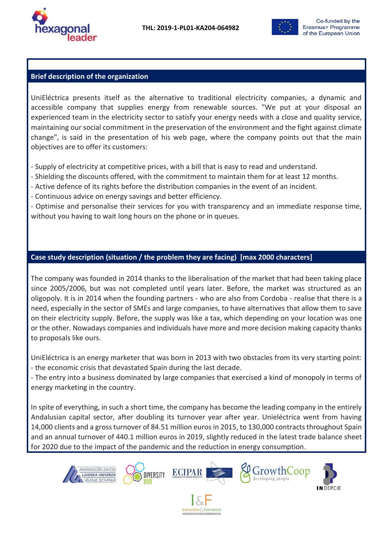



## **Brief description of the organization**

UniEléctrica presents itself as the alternative to traditional electricity companies, a dynamic and accessible company that supplies energy from renewable sources. "We put at your disposal an experienced team in the electricity sector to satisfy your energy needs with a close and quality service, maintaining our social commitment in the preservation of the environment and the fight against climate change", is said in the presentation of his web page, where the company points out that the main objectives are to offer its customers:

- Supply of electricity at competitive prices, with a bill that is easy to read and understand.

- Shielding the discounts offered, with the commitment to maintain them for at least 12 months.

- Active defence of its rights before the distribution companies in the event of an incident.

- Continuous advice on energy savings and better efficiency.

- Optimise and personalise their services for you with transparency and an immediate response time, without you having to wait long hours on the phone or in queues.

## **Case study description (situation / the problem they are facing) [max 2000 characters]**

The company was founded in 2014 thanks to the liberalisation of the market that had been taking place since 2005/2006, but was not completed until years later. Before, the market was structured as an oligopoly. It is in 2014 when the founding partners - who are also from Cordoba - realise that there is a need, especially in the sector of SMEs and large companies, to have alternatives that allow them to save on their electricity supply. Before, the supply was like a tax, which depending on your location was one or the other. Nowadays companies and individuals have more and more decision making capacity thanks to proposals like ours.

UniEléctrica is an energy marketer that was born in 2013 with two obstacles from its very starting point: - the economic crisis that devastated Spain during the last decade.

- The entry into a business dominated by large companies that exercised a kind of monopoly in terms of energy marketing in the country.

In spite of everything, in such a short time, the company has become the leading company in the entirely Andalusian capital sector, after doubling its turnover year after year. Unieléctrica went from having 14,000 clients and a gross turnover of 84.51 million euros in 2015, to 130,000 contracts throughout Spain and an annual turnover of 440.1 million euros in 2019, slightly reduced in the latest trade balance sheet for 2020 due to the impact of the pandemic and the reduction in energy consumption.



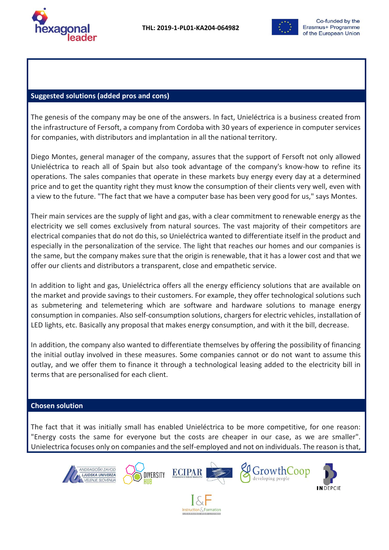



#### **Suggested solutions (added pros and cons)**

The genesis of the company may be one of the answers. In fact, Unieléctrica is a business created from the infrastructure of Fersoft, a company from Cordoba with 30 years of experience in computer services for companies, with distributors and implantation in all the national territory.

Diego Montes, general manager of the company, assures that the support of Fersoft not only allowed Unieléctrica to reach all of Spain but also took advantage of the company's know-how to refine its operations. The sales companies that operate in these markets buy energy every day at a determined price and to get the quantity right they must know the consumption of their clients very well, even with a view to the future. "The fact that we have a computer base has been very good for us," says Montes.

Their main services are the supply of light and gas, with a clear commitment to renewable energy as the electricity we sell comes exclusively from natural sources. The vast majority of their competitors are electrical companies that do not do this, so Unieléctrica wanted to differentiate itself in the product and especially in the personalization of the service. The light that reaches our homes and our companies is the same, but the company makes sure that the origin is renewable, that it has a lower cost and that we offer our clients and distributors a transparent, close and empathetic service.

In addition to light and gas, Unieléctrica offers all the energy efficiency solutions that are available on the market and provide savings to their customers. For example, they offer technological solutions such as submetering and telemetering which are software and hardware solutions to manage energy consumption in companies. Also self-consumption solutions, chargers for electric vehicles, installation of LED lights, etc. Basically any proposal that makes energy consumption, and with it the bill, decrease.

In addition, the company also wanted to differentiate themselves by offering the possibility of financing the initial outlay involved in these measures. Some companies cannot or do not want to assume this outlay, and we offer them to finance it through a technological leasing added to the electricity bill in terms that are personalised for each client.

#### **Chosen solution**

The fact that it was initially small has enabled Unieléctrica to be more competitive, for one reason: "Energy costs the same for everyone but the costs are cheaper in our case, as we are smaller". Unielectrica focuses only on companies and the self-employed and not on individuals. The reason is that,







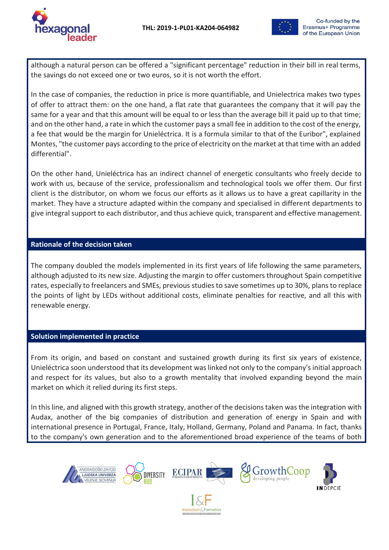

although a natural person can be offered a "significant percentage" reduction in their bill in real terms, the savings do not exceed one or two euros, so it is not worth the effort.

In the case of companies, the reduction in price is more quantifiable, and Unielectrica makes two types of offer to attract them: on the one hand, a flat rate that guarantees the company that it will pay the same for a year and that this amount will be equal to or less than the average bill it paid up to that time; and on the other hand, a rate in which the customer pays a small fee in addition to the cost of the energy, a fee that would be the margin for Unieléctrica. It is a formula similar to that of the Euribor", explained Montes, "the customer pays according to the price of electricity on the market at that time with an added differential".

On the other hand, Unieléctrica has an indirect channel of energetic consultants who freely decide to work with us, because of the service, professionalism and technological tools we offer them. Our first client is the distributor, on whom we focus our efforts as it allows us to have a great capillarity in the market. They have a structure adapted within the company and specialised in different departments to give integral support to each distributor, and thus achieve quick, transparent and effective management.

## **Rationale of the decision taken**

The company doubled the models implemented in its first years of life following the same parameters, although adjusted to its new size. Adjusting the margin to offer customers throughout Spain competitive rates, especially to freelancers and SMEs, previous studies to save sometimes up to 30%, plans to replace the points of light by LEDs without additional costs, eliminate penalties for reactive, and all this with renewable energy.

# **Solution implemented in practice**

From its origin, and based on constant and sustained growth during its first six years of existence, Unieléctrica soon understood that its development was linked not only to the company's initial approach and respect for its values, but also to a growth mentality that involved expanding beyond the main market on which it relied during its first steps.

In this line, and aligned with this growth strategy, another of the decisions taken was the integration with Audax, another of the big companies of distribution and generation of energy in Spain and with international presence in Portugal, France, Italy, Holland, Germany, Poland and Panama. In fact, thanks to the company's own generation and to the aforementioned broad experience of the teams of both

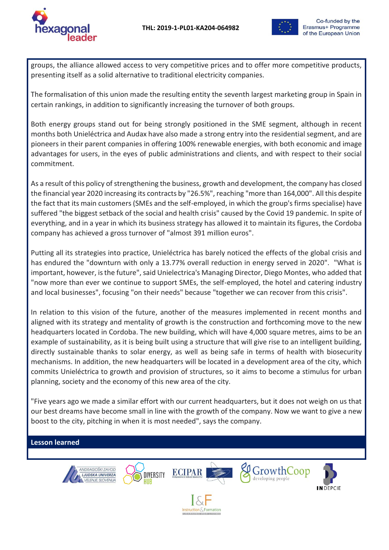

groups, the alliance allowed access to very competitive prices and to offer more competitive products, presenting itself as a solid alternative to traditional electricity companies.

The formalisation of this union made the resulting entity the seventh largest marketing group in Spain in certain rankings, in addition to significantly increasing the turnover of both groups.

Both energy groups stand out for being strongly positioned in the SME segment, although in recent months both Unieléctrica and Audax have also made a strong entry into the residential segment, and are pioneers in their parent companies in offering 100% renewable energies, with both economic and image advantages for users, in the eyes of public administrations and clients, and with respect to their social commitment.

As a result of this policy of strengthening the business, growth and development, the company has closed the financial year 2020 increasing its contracts by "26.5%", reaching "more than 164,000". All this despite the fact that its main customers (SMEs and the self-employed, in which the group's firms specialise) have suffered "the biggest setback of the social and health crisis" caused by the Covid 19 pandemic. In spite of everything, and in a year in which its business strategy has allowed it to maintain its figures, the Cordoba company has achieved a gross turnover of "almost 391 million euros".

Putting all its strategies into practice, Unieléctrica has barely noticed the effects of the global crisis and has endured the "downturn with only a 13.77% overall reduction in energy served in 2020". "What is important, however, is the future", said Unielectrica's Managing Director, Diego Montes, who added that "now more than ever we continue to support SMEs, the self-employed, the hotel and catering industry and local businesses", focusing "on their needs" because "together we can recover from this crisis".

In relation to this vision of the future, another of the measures implemented in recent months and aligned with its strategy and mentality of growth is the construction and forthcoming move to the new headquarters located in Cordoba. The new building, which will have 4,000 square metres, aims to be an example of sustainability, as it is being built using a structure that will give rise to an intelligent building, directly sustainable thanks to solar energy, as well as being safe in terms of health with biosecurity mechanisms. In addition, the new headquarters will be located in a development area of the city, which commits Unieléctrica to growth and provision of structures, so it aims to become a stimulus for urban planning, society and the economy of this new area of the city.

"Five years ago we made a similar effort with our current headquarters, but it does not weigh on us that our best dreams have become small in line with the growth of the company. Now we want to give a new boost to the city, pitching in when it is most needed", says the company.

# **Lesson learned**











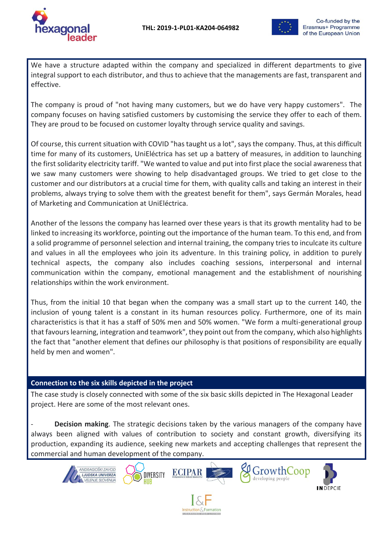

We have a structure adapted within the company and specialized in different departments to give integral support to each distributor, and thus to achieve that the managements are fast, transparent and effective.

The company is proud of "not having many customers, but we do have very happy customers". The company focuses on having satisfied customers by customising the service they offer to each of them. They are proud to be focused on customer loyalty through service quality and savings.

Of course, this current situation with COVID "has taught us a lot", says the company. Thus, at this difficult time for many of its customers, UniEléctrica has set up a battery of measures, in addition to launching the first solidarity electricity tariff. "We wanted to value and put into first place the social awareness that we saw many customers were showing to help disadvantaged groups. We tried to get close to the customer and our distributors at a crucial time for them, with quality calls and taking an interest in their problems, always trying to solve them with the greatest benefit for them", says Germán Morales, head of Marketing and Communication at UniEléctrica.

Another of the lessons the company has learned over these years is that its growth mentality had to be linked to increasing its workforce, pointing out the importance of the human team. To this end, and from a solid programme of personnel selection and internal training, the company tries to inculcate its culture and values in all the employees who join its adventure. In this training policy, in addition to purely technical aspects, the company also includes coaching sessions, interpersonal and internal communication within the company, emotional management and the establishment of nourishing relationships within the work environment.

Thus, from the initial 10 that began when the company was a small start up to the current 140, the inclusion of young talent is a constant in its human resources policy. Furthermore, one of its main characteristics is that it has a staff of 50% men and 50% women. "We form a multi-generational group that favours learning, integration and teamwork", they point out from the company, which also highlights the fact that "another element that defines our philosophy is that positions of responsibility are equally held by men and women".

# **Connection to the six skills depicted in the project**

The case study is closely connected with some of the six basic skills depicted in The Hexagonal Leader project. Here are some of the most relevant ones.

**Decision making**. The strategic decisions taken by the various managers of the company have always been aligned with values of contribution to society and constant growth, diversifying its production, expanding its audience, seeking new markets and accepting challenges that represent the commercial and human development of the company.